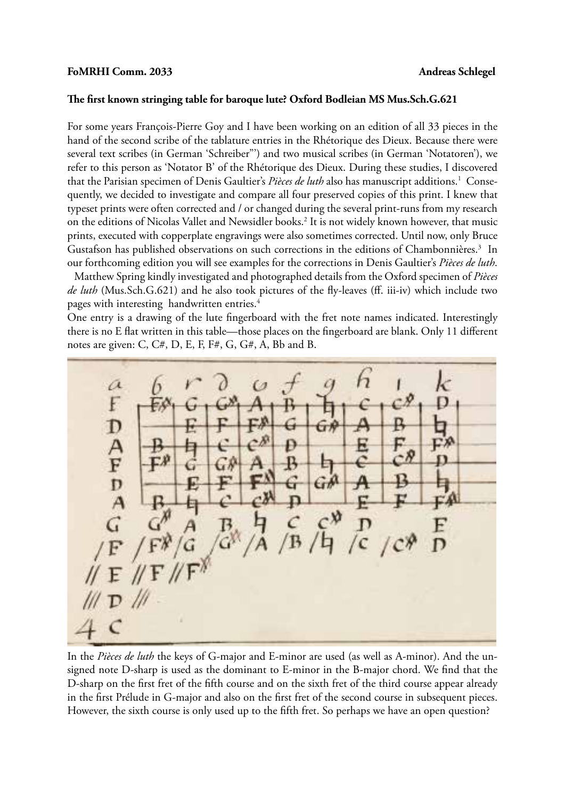## **FoMRHI Comm. 2033 Andreas Schlegel**

## **The first known stringing table for baroque lute? Oxford Bodleian MS Mus.Sch.G.621**

For some years François-Pierre Goy and I have been working on an edition of all 33 pieces in the hand of the second scribe of the tablature entries in the Rhétorique des Dieux. Because there were several text scribes (in German 'Schreiber"') and two musical scribes (in German 'Notatoren'), we refer to this person as 'Notator B' of the Rhétorique des Dieux. During these studies, I discovered that the Parisian specimen of Denis Gaultier's Pièces de luth also has manuscript additions.<sup>1</sup> Consequently, we decided to investigate and compare all four preserved copies of this print. I knew that typeset prints were often corrected and / or changed during the several print-runs from my research on the editions of Nicolas Vallet and Newsidler books.<sup>2</sup> It is not widely known however, that music prints, executed with copperplate engravings were also sometimes corrected. Until now, only Bruce Gustafson has published observations on such corrections in the editions of Chambonnières.<sup>3</sup> In our forthcoming edition you will see examples for the corrections in Denis Gaultier's *Pièces de luth*.

 Matthew Spring kindly investigated and photographed details from the Oxford specimen of *Pièces de luth* (Mus.Sch.G.621) and he also took pictures of the fly-leaves (ff. iii-iv) which include two pages with interesting handwritten entries.<sup>4</sup>

One entry is a drawing of the lute fingerboard with the fret note names indicated. Interestingly there is no E flat written in this table—those places on the fingerboard are blank. Only 11 different notes are given: C,  $C#$ , D, E, F, F#, G,  $G#$ , A, Bb and B.



In the *Pièces de luth* the keys of G-major and E-minor are used (as well as A-minor). And the unsigned note D-sharp is used as the dominant to E-minor in the B-major chord. We find that the D-sharp on the first fret of the fifth course and on the sixth fret of the third course appear already in the first Prélude in G-major and also on the first fret of the second course in subsequent pieces. However, the sixth course is only used up to the fifth fret. So perhaps we have an open question?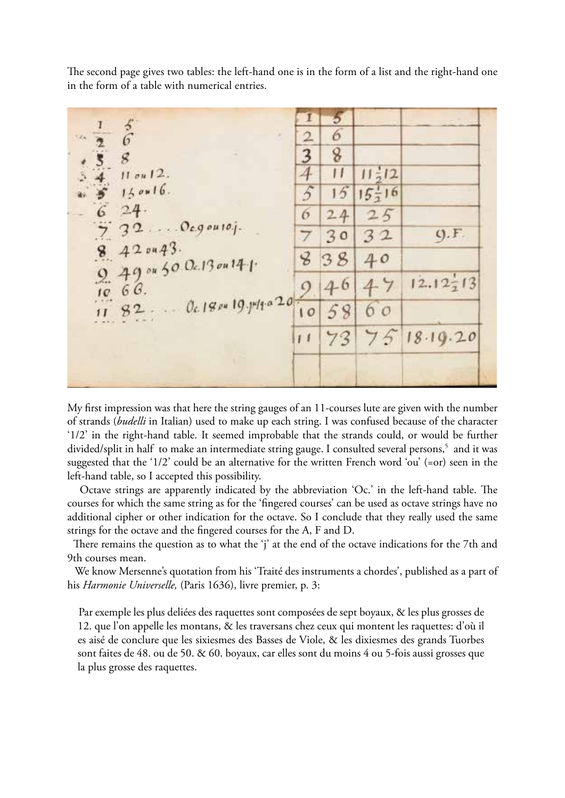The second page gives two tables: the left-hand one is in the form of a list and the right-hand one in the form of a table with numerical entries.

| $\frac{3}{6}$<br>$\pm\sigma_{\rm H}$<br>$\mathcal{G}$<br>$11$ ou $12$ .<br>$150*16.$<br>24.<br>$320$ egousoj.<br>$\begin{array}{c} 7 \\ 8 \end{array}$<br>420443.<br>$9.49$ ou 50 Oc.13 on 14-1.<br>$0c.18$ pu 19. pdf a 20-<br>82.<br>$\mathbf{1}$ | I<br>$\overline{2}$<br>3<br>6<br>B<br>10<br>11 | Ð<br>6<br>8<br>П<br>15<br>24<br>30<br>38<br>46<br>58<br>73 | $11\frac{1}{2}12$<br>$15\frac{1}{2}16$<br>25<br>32<br>40<br>47<br>60<br>75 | Q.F.<br>$12.12 \div 13$<br>18.19.20 |  |
|-----------------------------------------------------------------------------------------------------------------------------------------------------------------------------------------------------------------------------------------------------|------------------------------------------------|------------------------------------------------------------|----------------------------------------------------------------------------|-------------------------------------|--|
|-----------------------------------------------------------------------------------------------------------------------------------------------------------------------------------------------------------------------------------------------------|------------------------------------------------|------------------------------------------------------------|----------------------------------------------------------------------------|-------------------------------------|--|

My first impression was that here the string gauges of an 11-courses lute are given with the number of strands (*budelli* in Italian) used to make up each string. I was confused because of the character '1/2' in the right-hand table. It seemed improbable that the strands could, or would be further divided/split in half to make an intermediate string gauge. I consulted several persons,<sup>5</sup> and it was suggested that the '1/2' could be an alternative for the written French word 'ou' (=or) seen in the left-hand table, so I accepted this possibility.

 Octave strings are apparently indicated by the abbreviation 'Oc.' in the left-hand table. The courses for which the same string as for the 'fingered courses' can be used as octave strings have no additional cipher or other indication for the octave. So I conclude that they really used the same strings for the octave and the fingered courses for the A, F and D.

There remains the question as to what the 'j' at the end of the octave indications for the 7th and 9th courses mean.

 We know Mersenne's quotation from his 'Traité des instruments a chordes', published as a part of his *Harmonie Universelle,* (Paris 1636), livre premier, p. 3:

Par exemple les plus deliées des raquettes sont composées de sept boyaux, & les plus grosses de 12. que l'on appelle les montans, & les traversans chez ceux qui montent les raquettes: d'où il es aisé de conclure que les sixiesmes des Basses de Viole, & les dixiesmes des grands Tuorbes sont faites de 48. ou de 50. & 60. boyaux, car elles sont du moins 4 ou 5-fois aussi grosses que la plus grosse des raquettes.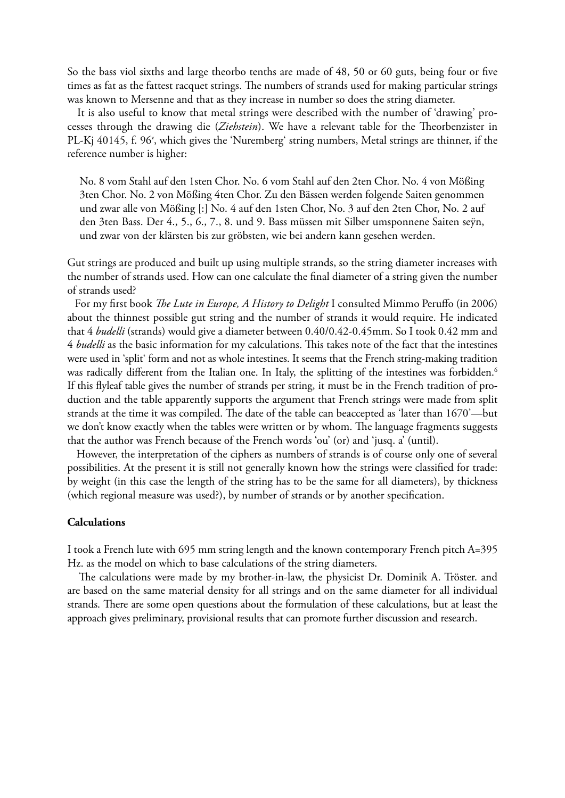So the bass viol sixths and large theorbo tenths are made of 48, 50 or 60 guts, being four or five times as fat as the fattest racquet strings. The numbers of strands used for making particular strings was known to Mersenne and that as they increase in number so does the string diameter.

 It is also useful to know that metal strings were described with the number of 'drawing' processes through the drawing die (*Ziehstein*). We have a relevant table for the Theorbenzister in PL-Kj 40145, f. 96<sup>v</sup>, which gives the 'Nuremberg' string numbers, Metal strings are thinner, if the reference number is higher:

No. 8 vom Stahl auf den 1sten Chor. No. 6 vom Stahl auf den 2ten Chor. No. 4 von Mößing 3ten Chor. No. 2 von Mößing 4ten Chor. Zu den Bässen werden folgende Saiten genommen und zwar alle von Mößing [:] No. 4 auf den 1sten Chor, No. 3 auf den 2ten Chor, No. 2 auf den 3ten Bass. Der 4., 5., 6., 7., 8. und 9. Bass müssen mit Silber umsponnene Saiten seÿn, und zwar von der klärsten bis zur gröbsten, wie bei andern kann gesehen werden.

Gut strings are produced and built up using multiple strands, so the string diameter increases with the number of strands used. How can one calculate the final diameter of a string given the number of strands used?

 For my first book *The Lute in Europe, A History to Delight* I consulted Mimmo Peruffo (in 2006) about the thinnest possible gut string and the number of strands it would require. He indicated that 4 *budelli* (strands) would give a diameter between 0.40/0.42-0.45mm. So I took 0.42 mm and 4 *budelli* as the basic information for my calculations. This takes note of the fact that the intestines were used in 'split' form and not as whole intestines. It seems that the French string-making tradition was radically different from the Italian one. In Italy, the splitting of the intestines was forbidden.<sup>6</sup> If this flyleaf table gives the number of strands per string, it must be in the French tradition of production and the table apparently supports the argument that French strings were made from split strands at the time it was compiled. The date of the table can beaccepted as 'later than 1670'—but we don't know exactly when the tables were written or by whom. The language fragments suggests that the author was French because of the French words 'ou' (or) and 'jusq. a' (until).

 However, the interpretation of the ciphers as numbers of strands is of course only one of several possibilities. At the present it is still not generally known how the strings were classified for trade: by weight (in this case the length of the string has to be the same for all diameters), by thickness (which regional measure was used?), by number of strands or by another specification.

## **Calculations**

I took a French lute with 695 mm string length and the known contemporary French pitch A=395 Hz. as the model on which to base calculations of the string diameters.

 The calculations were made by my brother-in-law, the physicist Dr. Dominik A. Tröster. and are based on the same material density for all strings and on the same diameter for all individual strands. There are some open questions about the formulation of these calculations, but at least the approach gives preliminary, provisional results that can promote further discussion and research.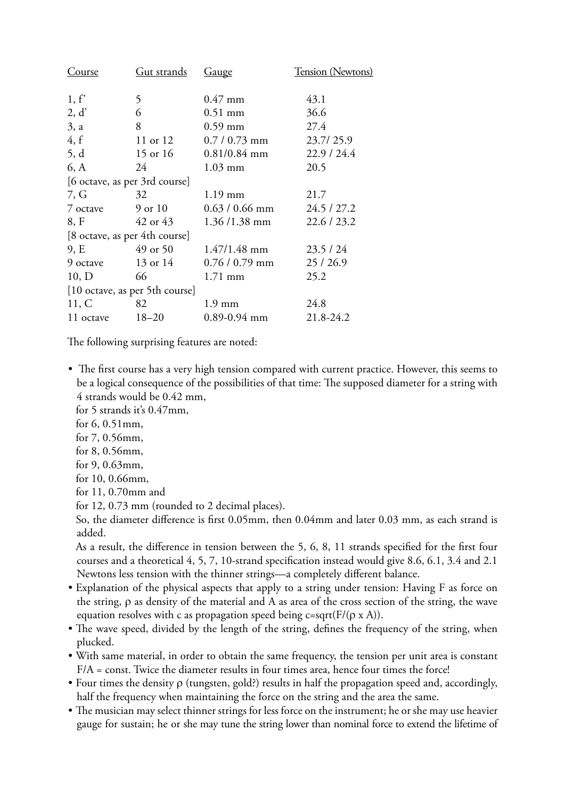| Course                         | <u>Gut strands</u> | <u>Gauge</u>     | Tension (Newtons) |  |  |  |
|--------------------------------|--------------------|------------------|-------------------|--|--|--|
| 1, f'                          | 5                  | $0.47$ mm        | 43.1              |  |  |  |
| 2, d'                          | 6                  | $0.51$ mm        | 36.6              |  |  |  |
| 3, a                           | 8                  | $0.59$ mm        | 27.4              |  |  |  |
| 4, f                           | 11 or 12           | $0.7/0.73$ mm    | 23.7/25.9         |  |  |  |
| 5, d                           | 15 or 16           | $0.81/0.84$ mm   | 22.9/24.4         |  |  |  |
| 6, A                           | 24                 | $1.03$ mm        | 20.5              |  |  |  |
| [6 octave, as per 3rd course]  |                    |                  |                   |  |  |  |
| 7, G                           | 32                 | $1.19$ mm        | 21.7              |  |  |  |
| 7 octave                       | 9 or 10            | $0.63 / 0.66$ mm | 24.5/27.2         |  |  |  |
| 8, F                           | 42 or 43           | $1.36 / 1.38$ mm | 22.6 / 23.2       |  |  |  |
| [8 octave, as per 4th course]  |                    |                  |                   |  |  |  |
| 9, E                           | 49 or 50           | $1.47/1.48$ mm   | 23.5/24           |  |  |  |
| 9 octave                       | 13 or 14           | $0.76/0.79$ mm   | 25/26.9           |  |  |  |
| 10, D                          | 66                 | $1.71$ mm        | 25.2              |  |  |  |
| [10 octave, as per 5th course] |                    |                  |                   |  |  |  |
| 11, C                          | 82                 | $1.9 \text{ mm}$ | 24.8              |  |  |  |
| 11 octave                      | $18 - 20$          | $0.89 - 0.94$ mm | 21.8-24.2         |  |  |  |

The following surprising features are noted:

- The first course has a very high tension compared with current practice. However, this seems to be a logical consequence of the possibilities of that time: The supposed diameter for a string with 4 strands would be 0.42 mm,
	- for 5 strands it's 0.47mm,
	- for 6, 0.51mm,
	- for 7, 0.56mm,
	- for 8, 0.56mm,
	- for 9, 0.63mm,
	- for 10, 0.66mm,
	- for 11, 0.70mm and
	- for 12, 0.73 mm (rounded to 2 decimal places).

So, the diameter difference is first 0.05mm, then 0.04mm and later 0.03 mm, as each strand is added.

As a result, the difference in tension between the 5, 6, 8, 11 strands specified for the first four courses and a theoretical 4, 5, 7, 10-strand specification instead would give 8.6, 6.1, 3.4 and 2.1 Newtons less tension with the thinner strings—a completely different balance.

- Explanation of the physical aspects that apply to a string under tension: Having F as force on the string, ρ as density of the material and A as area of the cross section of the string, the wave equation resolves with c as propagation speed being  $c = sqrt(F/(\rho \times A))$ .
- The wave speed, divided by the length of the string, defines the frequency of the string, when plucked.
- With same material, in order to obtain the same frequency, the tension per unit area is constant  $F/A = \text{const.}$  Twice the diameter results in four times area, hence four times the force!
- Four times the density ρ (tungsten, gold?) results in half the propagation speed and, accordingly, half the frequency when maintaining the force on the string and the area the same.
- The musician may select thinner strings for less force on the instrument; he or she may use heavier gauge for sustain; he or she may tune the string lower than nominal force to extend the lifetime of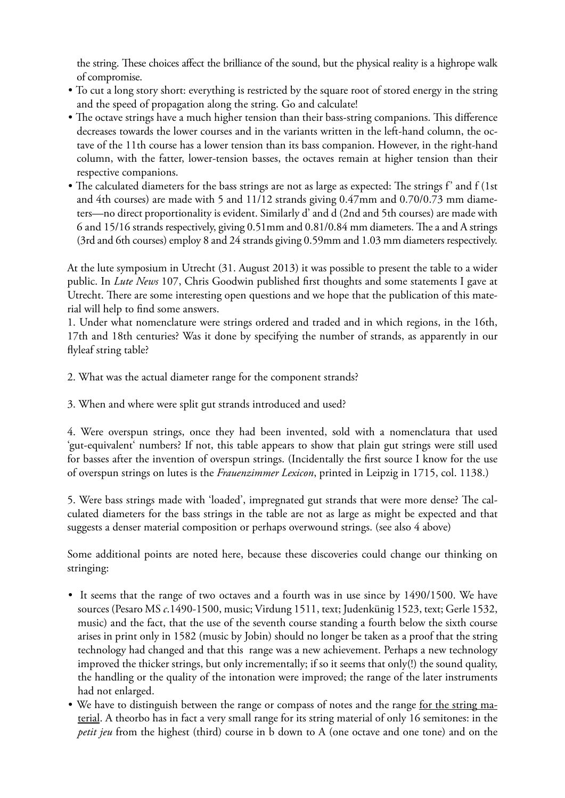the string. These choices affect the brilliance of the sound, but the physical reality is a highrope walk of compromise.

- To cut a long story short: everything is restricted by the square root of stored energy in the string and the speed of propagation along the string. Go and calculate!
- The octave strings have a much higher tension than their bass-string companions. This difference decreases towards the lower courses and in the variants written in the left-hand column, the octave of the 11th course has a lower tension than its bass companion. However, in the right-hand column, with the fatter, lower-tension basses, the octaves remain at higher tension than their respective companions.
- The calculated diameters for the bass strings are not as large as expected: The strings f' and f (1st and 4th courses) are made with 5 and 11/12 strands giving 0.47mm and 0.70/0.73 mm diameters—no direct proportionality is evident. Similarly d' and d (2nd and 5th courses) are made with 6 and 15/16 strands respectively, giving 0.51mm and 0.81/0.84 mm diameters. The a and A strings (3rd and 6th courses) employ 8 and 24 strands giving 0.59mm and 1.03 mm diameters respectively.

At the lute symposium in Utrecht (31. August 2013) it was possible to present the table to a wider public. In *Lute News* 107, Chris Goodwin published first thoughts and some statements I gave at Utrecht. There are some interesting open questions and we hope that the publication of this material will help to find some answers.

1. Under what nomenclature were strings ordered and traded and in which regions, in the 16th, 17th and 18th centuries? Was it done by specifying the number of strands, as apparently in our flyleaf string table?

2. What was the actual diameter range for the component strands?

3. When and where were split gut strands introduced and used?

4. Were overspun strings, once they had been invented, sold with a nomenclatura that used 'gut-equivalent' numbers? If not, this table appears to show that plain gut strings were still used for basses after the invention of overspun strings. (Incidentally the first source I know for the use of overspun strings on lutes is the *Frauenzimmer Lexicon*, printed in Leipzig in 1715, col. 1138.)

5. Were bass strings made with 'loaded', impregnated gut strands that were more dense? The calculated diameters for the bass strings in the table are not as large as might be expected and that suggests a denser material composition or perhaps overwound strings. (see also 4 above)

Some additional points are noted here, because these discoveries could change our thinking on stringing:

- It seems that the range of two octaves and a fourth was in use since by 1490/1500. We have sources (Pesaro MS *c*.1490-1500, music; Virdung 1511, text; Judenkünig 1523, text; Gerle 1532, music) and the fact, that the use of the seventh course standing a fourth below the sixth course arises in print only in 1582 (music by Jobin) should no longer be taken as a proof that the string technology had changed and that this range was a new achievement. Perhaps a new technology improved the thicker strings, but only incrementally; if so it seems that only(!) the sound quality, the handling or the quality of the intonation were improved; the range of the later instruments had not enlarged.
- We have to distinguish between the range or compass of notes and the range for the string material. A theorbo has in fact a very small range for its string material of only 16 semitones: in the *petit jeu* from the highest (third) course in b down to A (one octave and one tone) and on the